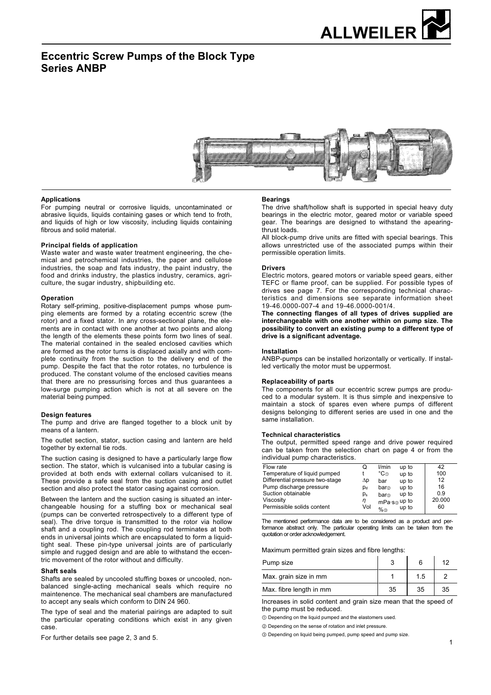

# **Eccentric Screw Pumps of the Block Type Series ANBP**



#### **Applications**

For pumping neutral or corrosive liquids, uncontaminated or abrasive liquids, liquids containing gases or which tend to froth, and liquids of high or low viscosity, including liquids containing fibrous and solid material.

#### **Principal fields of application**

Waste water and waste water treatment engineering, the chemical and petrochemical industries, the paper and cellulose industries, the soap and fats industry, the paint industry, the food and drinks industry, the plastics industry, ceramics, agriculture, the sugar industry, shipbuilding etc.

#### **Operation**

Rotary self-priming, positive-displacement pumps whose pumping elements are formed by a rotating eccentric screw (the rotor) and a fixed stator. In any cross-sectional plane, the elements are in contact with one another at two points and along the length of the elements these points form two lines of seal. The material contained in the sealed enclosed cavities which are formed as the rotor turns is displaced axially and with complete continuity from the suction to the delivery end of the pump. Despite the fact that the rotor rotates, no turbulence is produced. The constant volume of the enclosed cavities means that there are no pressurising forces and thus guarantees a low-surge pumping action which is not at all severe on the material being pumped.

#### **Design features**

The pump and drive are flanged together to a block unit by means of a lantern.

The outlet section, stator, suction casing and lantern are held together by external tie rods.

The suction casing is designed to have a particularly large flow section. The stator, which is vulcanised into a tubular casing is provided at both ends with external collars vulcanised to it. These provide a safe seal from the suction casing and outlet section and also protect the stator casing against corrosion.

Between the lantern and the suction casing is situated an interchangeable housing for a stuffing box or mechanical seal (pumps can be converted retrospectively to a different type of seal). The drive torque is transmitted to the rotor via hollow shaft and a coupling rod. The coupling rod terminates at both ends in universal joints which are encapsulated to form a liquidtight seal. These pin-type universal joints are of particularly simple and rugged design and are able to withstand the eccentric movement of the rotor without and difficulty.

#### **Shaft seals**

Shafts are sealed by uncooled stuffing boxes or uncooled, nonbalanced single-acting mechanical seals which require no maintenence. The mechanical seal chambers are manufactured to accept any seals which conform to DIN 24 960.

The type of seal and the material pairings are adapted to suit the particular operating conditions which exist in any given case.

For further details see page 2, 3 and 5.

#### **Bearings**

The drive shaft/hollow shaft is supported in special heavy duty bearings in the electric motor, geared motor or variable speed gear. The bearings are designed to withstand the apearingthrust loads.

All block-pump drive units are fitted with special bearings. This allows unrestricted use of the associated pumps within their permissible operation limits.

#### **Drivers**

Electric motors, geared motors or variable speed gears, either TEFC or flame proof, can be supplied. For possible types of drives see page 7. For the corresponding technical characteristics and dimensions see separate information sheet 19-46.0000-007-4 and 19-46.0000-001/4.

**The connecting flanges of all types of drives supplied are interchangeable with one another within on pump size. The possibility to convert an existing pump to a different type of drive is a significant adventage.** 

#### **Installation**

ANBP-pumps can be installed horizontally or vertically. If installed vertically the motor must be uppermost.

#### **Replaceability of parts**

The components for all our eccentric screw pumps are produced to a modular system. It is thus simple and inexpensive to maintain a stock of spares even where pumps of different designs belonging to different series are used in one and the same installation.

#### **Technical characteristics**

The output, permitted speed range and drive power required can be taken from the selection chart on page 4 or from the individual pump characteristics.

| Flow rate                       | O           | l/min            | up to          | 42     |
|---------------------------------|-------------|------------------|----------------|--------|
| Temperature of liquid pumped    |             | °C⊕              | up to          | 100    |
| Differential pressure two-stage | Δp          | bar              | up to          | 12     |
| Pump discharge pressure         | $p_{\rm d}$ | bar <sub>2</sub> | up to          | 16     |
| Suction obtainable              | $p_{s}$     | bar              | up to          | 0.9    |
| Viscositv                       | η           |                  | $mPa·s®$ up to | 20.000 |
| Permissible solids content      | Vol         | %                | up to          | 60     |
|                                 |             |                  |                |        |

The mentioned performance data are to be considered as a product and performance abstract only. The particular operating limits can be taken from the quotation or order acknowledgement.

#### Maximum permitted grain sizes and fibre lengths:

| Pump size               |    |     | 12 |
|-------------------------|----|-----|----|
| Max. grain size in mm   |    | 1.5 |    |
| Max. fibre length in mm | 35 | 35  | 35 |

Increases in solid content and grain size mean that the speed of the pump must be reduced.

 $\odot$  Depending on the liquid pumped and the elastomers used.

 $@$  Depending on the sense of rotation and inlet pressure.

ໃ Depending on liquid being pumped, pump speed and pump size.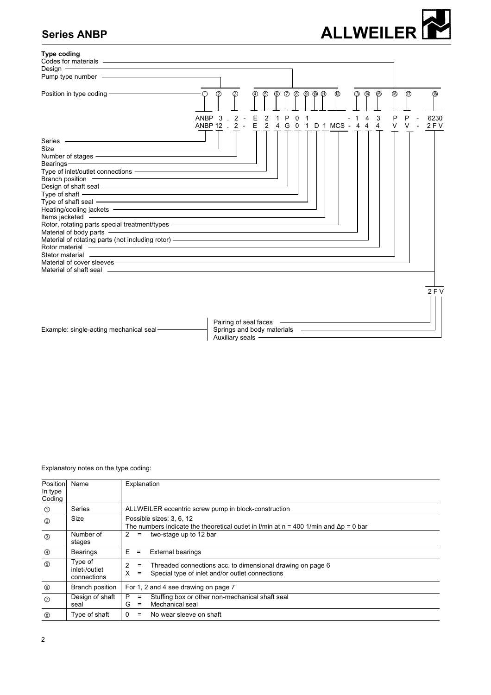# **Series ANBP**





Explanatory notes on the type coding:

| Position<br>In type<br>Coding | Name                                    | Explanation                                                                                                                                             |
|-------------------------------|-----------------------------------------|---------------------------------------------------------------------------------------------------------------------------------------------------------|
| $^\circledR$                  | Series                                  | ALLWEILER eccentric screw pump in block-construction                                                                                                    |
| $^{\circledR}$                | Size                                    | Possible sizes: 3, 6, 12<br>The numbers indicate the theoretical outlet in I/min at $n = 400$ 1/min and $\Delta p = 0$ bar                              |
| $^\circledR$                  | Number of<br>stages                     | two-stage up to 12 bar<br>2<br>$\equiv$                                                                                                                 |
| $^{\circledR}$                | <b>Bearings</b>                         | E.<br><b>External bearings</b><br>$\equiv$                                                                                                              |
| $\circledS$                   | Type of<br>inlet-/outlet<br>connections | $\overline{2}$<br>Threaded connections acc. to dimensional drawing on page 6<br>$\equiv$<br>X<br>Special type of inlet and/or outlet connections<br>$=$ |
| $^{\circ}$                    | Branch position                         | For 1, 2 and 4 see drawing on page 7                                                                                                                    |
| $\circledcirc$                | Design of shaft<br>seal                 | Stuffing box or other non-mechanical shaft seal<br>P<br>$\equiv$<br>Mechanical seal<br>G<br>$\equiv$                                                    |
| <b>®</b>                      | Type of shaft                           | $\mathbf{0}$<br>No wear sleeve on shaft<br>$=$                                                                                                          |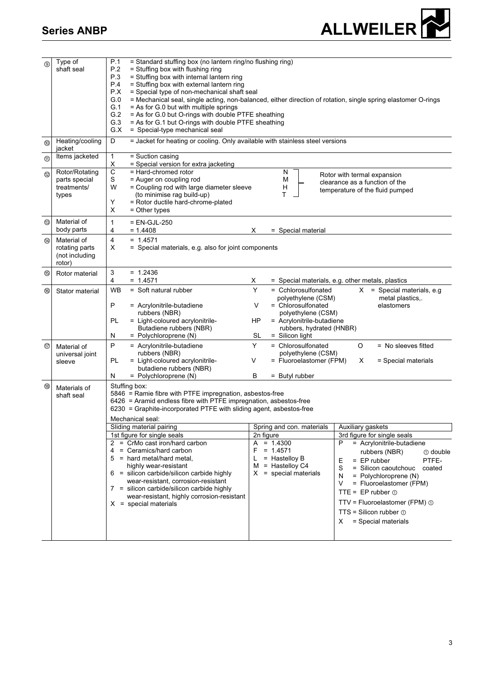

| $\circledcirc$ | Type of<br>shaft seal                                     | P.1<br>= Standard stuffing box (no lantern ring/no flushing ring)<br>P.2<br>= Stuffing box with flushing ring<br>P.3<br>= Stuffing box with internal lantern ring<br>P.4<br>= Stuffing box with external lantern ring<br>P.X<br>= Special type of non-mechanical shaft seal<br>G.0<br>G.1<br>$=$ As for G.0 but with multiple springs<br>G.2<br>= As for G.0 but O-rings with double PTFE sheathing<br>G.3<br>= As for G.1 but O-rings with double PTFE sheathing<br>G.X<br>= Special-type mechanical seal                                                                                                                       | = Mechanical seal, single acting, non-balanced, either direction of rotation, single spring elastomer O-rings                                                                                                                                                                                                                                                                                                                  |
|----------------|-----------------------------------------------------------|----------------------------------------------------------------------------------------------------------------------------------------------------------------------------------------------------------------------------------------------------------------------------------------------------------------------------------------------------------------------------------------------------------------------------------------------------------------------------------------------------------------------------------------------------------------------------------------------------------------------------------|--------------------------------------------------------------------------------------------------------------------------------------------------------------------------------------------------------------------------------------------------------------------------------------------------------------------------------------------------------------------------------------------------------------------------------|
| $^{\circledR}$ | Heating/cooling<br>jacket                                 | D<br>= Jacket for heating or cooling. Only available with stainless steel versions                                                                                                                                                                                                                                                                                                                                                                                                                                                                                                                                               |                                                                                                                                                                                                                                                                                                                                                                                                                                |
| $^{\circledR}$ | Items jacketed                                            | 1<br>= Suction casing<br>Χ<br>= Special version for extra jacketing                                                                                                                                                                                                                                                                                                                                                                                                                                                                                                                                                              |                                                                                                                                                                                                                                                                                                                                                                                                                                |
| 12             | Rotor/Rotating<br>parts special<br>treatments/<br>types   | C<br>= Hard-chromed rotor<br>S<br>= Auger on coupling rod<br>W<br>= Coupling rod with large diameter sleeve<br>(to minimise rag build-up)<br>Υ<br>= Rotor ductile hard-chrome-plated<br>Х<br>= Other types                                                                                                                                                                                                                                                                                                                                                                                                                       | N<br>Rotor with termal expansion<br>M<br>clearance as a function of the<br>н<br>temperature of the fluid pumped<br>т                                                                                                                                                                                                                                                                                                           |
| ⑬              | Material of<br>body parts                                 | $\mathbf{1}$<br>$= EN-GJL-250$<br>$= 1.4408$<br>4<br>х                                                                                                                                                                                                                                                                                                                                                                                                                                                                                                                                                                           | = Special material                                                                                                                                                                                                                                                                                                                                                                                                             |
| $\circledR$    | Material of<br>rotating parts<br>(not including<br>rotor) | 4<br>$= 1.4571$<br>X<br>= Special materials, e.g. also for joint components                                                                                                                                                                                                                                                                                                                                                                                                                                                                                                                                                      |                                                                                                                                                                                                                                                                                                                                                                                                                                |
| $^{\circledR}$ | Rotor material                                            | 3<br>$= 1.2436$<br>$= 1.4571$<br>4<br>X                                                                                                                                                                                                                                                                                                                                                                                                                                                                                                                                                                                          | = Special materials, e.g. other metals, plastics                                                                                                                                                                                                                                                                                                                                                                               |
| <b>®</b>       | Stator material                                           | = Soft natural rubber<br>Y<br><b>WB</b><br>P<br>= Acrylonitrile-butadiene<br>V<br>rubbers (NBR)<br>PL<br>= Light-coloured acrylonitrile-<br>HP<br>Butadiene rubbers (NBR)<br>= Polychloroprene (N)<br>SL<br>N                                                                                                                                                                                                                                                                                                                                                                                                                    | = Cchlorosulfonated<br>$X =$ Special materials, e.g.<br>polyethylene (CSM)<br>metal plastics,.<br>= Chlorosulfonated<br>elastomers<br>polyethylene (CSM)<br>= Acrylonitrile-butadiene<br>rubbers, hydrated (HNBR)<br>$=$ Silicon light                                                                                                                                                                                         |
| $^{\circledR}$ | Material of<br>universal joint<br>sleeve                  | P<br>Y<br>= Acrylonitrile-butadiene<br>rubbers (NBR)<br>= Light-coloured acrylonitrile-<br>PL<br>V<br>butadiene rubbers (NBR)<br>N<br>= Polychloroprene (N)<br>B                                                                                                                                                                                                                                                                                                                                                                                                                                                                 | = Chlorosulfonated<br>O<br>$=$ No sleeves fitted<br>polyethylene (CSM)<br>= Fluoroelastomer (FPM)<br>х<br>= Special materials<br>= Butyl rubber                                                                                                                                                                                                                                                                                |
| ®              | Materials of<br>shaft seal                                | Stuffing box:<br>5846 = Ramie fibre with PTFE impregnation, asbestos-free<br>6426 = Aramid endless fibre with PTFE impregnation, asbestos-free<br>6230 = Graphite-incorporated PTFE with sliding agent, asbestos-free<br>Mechanical seal:<br>Sliding material pairing<br>1st figure for single seals<br>$2 = CrMo$ cast iron/hard carbon<br>= Ceramics/hard carbon<br>F<br>4<br>= hard metal/hard metal,<br>5<br>L<br>highly wear-resistant<br>$6 =$ silicon carbide/silicon carbide highly<br>wear-resistant, corrosion-resistant<br>$7 =$ silicon carbide/silicon carbide highly<br>wear-resistant, highly corrosion-resistant | Spring and con. materials<br>Auxiliary gaskets<br>2n figure<br>3rd figure for single seals<br>= Acrylonitrile-butadiene<br>$A = 1.4300$<br>P<br>$= 1.4571$<br>rubbers (NBR)<br>① double<br>$=$ Hastelloy B<br>PTFE-<br>Е<br>$=$ EP rubber<br>$M =$ Hastelloy C4<br>S<br>$=$ Silicon caoutchouc<br>coated<br>$X =$ special materials<br>= Polychloroprene (N)<br>N<br>V<br>= Fluoroelastomer (FPM)<br>TTE = $EP$ rubber $\odot$ |
|                |                                                           | $X =$ special materials                                                                                                                                                                                                                                                                                                                                                                                                                                                                                                                                                                                                          | TTV = Fluoroelastomer (FPM) ①<br>$TTS = Silicon rubber \textcircled{1}$<br>= Special materials<br>X.                                                                                                                                                                                                                                                                                                                           |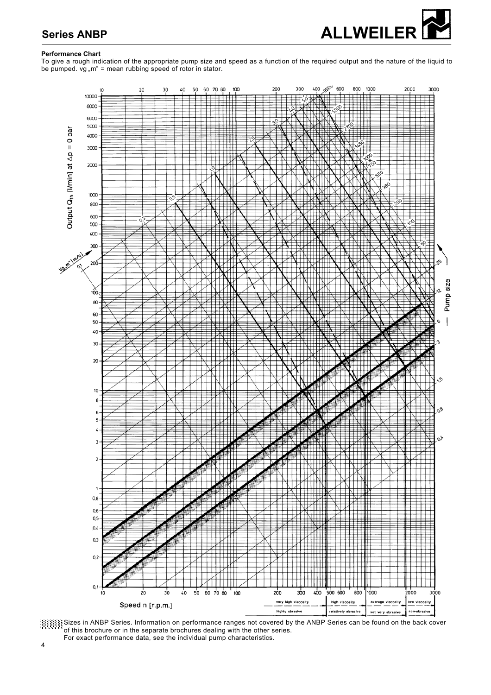

# **Series ANBP**

## **Performance Chart**

To give a rough indication of the appropriate pump size and speed as a function of the required output and the nature of the liquid to be pumped.  $vg$   $,m$ " = mean rubbing speed of rotor in stator.





For exact performance data, see the individual pump characteristics.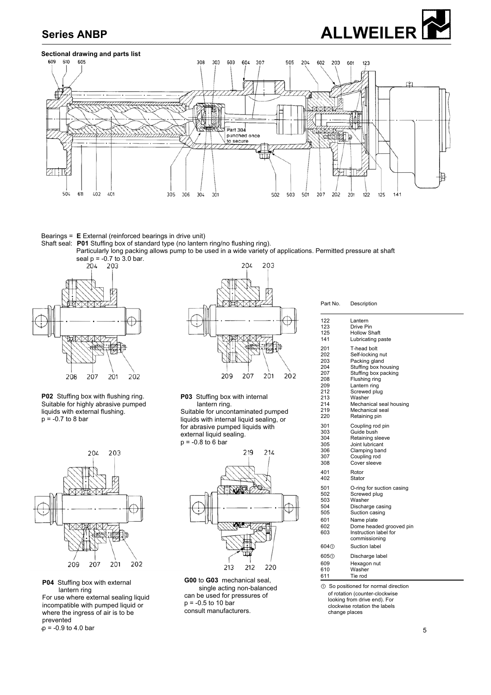



## **Sectional drawing and parts list**



### Bearings = **E** External (reinforced bearings in drive unit)

Shaft seal: **P01** Stuffing box of standard type (no lantern ring/no flushing ring).

Particularly long packing allows pump to be used in a wide variety of applications. Permitted pressure at shaft



**P02** Stuffing box with flushing ring. Suitable for highly abrasive pumped liquids with external flushing.  $p = -0.7$  to 8 bar



**P04** Stuffing box with external lantern ring

For use where external sealing liquid incompatible with pumped liquid or where the ingress of air is to be prevented

 $p = -0.9$  to 4.0 par 5  $_{1}^{1}$  p = -0.9 to 4.0 bar



**P03** Stuffing box with internal lantern ring.

Suitable for uncontaminated pumped liquids with internal liquid sealing, or for abrasive pumped liquids with external liquid sealing.  $p = -0.8$  to 6 bar



**G00** to **G03** mechanical seal, single acting non-balanced can be used for pressures of  $p = -0.5$  to 10 bar consult manufacturers.

Part No. Description

| 122                                                  | Lantern                                                                                                                                                                      |  |  |  |  |  |
|------------------------------------------------------|------------------------------------------------------------------------------------------------------------------------------------------------------------------------------|--|--|--|--|--|
| 123                                                  | Drive Pin                                                                                                                                                                    |  |  |  |  |  |
| 125                                                  | <b>Hollow Shaft</b>                                                                                                                                                          |  |  |  |  |  |
| 141                                                  | Lubricating paste                                                                                                                                                            |  |  |  |  |  |
| 201                                                  | T-head bolt                                                                                                                                                                  |  |  |  |  |  |
| 202                                                  | Self-locking nut                                                                                                                                                             |  |  |  |  |  |
| 203                                                  | Packing gland                                                                                                                                                                |  |  |  |  |  |
| 204                                                  | Stuffing box housing                                                                                                                                                         |  |  |  |  |  |
| 207                                                  | Stuffing box packing                                                                                                                                                         |  |  |  |  |  |
| 208                                                  | Flushing ring                                                                                                                                                                |  |  |  |  |  |
| 209                                                  | Lantern ring                                                                                                                                                                 |  |  |  |  |  |
| 212                                                  | Screwed plug                                                                                                                                                                 |  |  |  |  |  |
| 213                                                  | Washer                                                                                                                                                                       |  |  |  |  |  |
| 214                                                  | Mechanical seal housing                                                                                                                                                      |  |  |  |  |  |
| 219                                                  | Mechanical seal                                                                                                                                                              |  |  |  |  |  |
| 220                                                  | Retaining pin                                                                                                                                                                |  |  |  |  |  |
| 301                                                  | Coupling rod pin                                                                                                                                                             |  |  |  |  |  |
| 303                                                  | Guide bush                                                                                                                                                                   |  |  |  |  |  |
| 304                                                  | Retaining sleeve                                                                                                                                                             |  |  |  |  |  |
| 305                                                  | Joint lubricant                                                                                                                                                              |  |  |  |  |  |
| 306                                                  | Clamping band                                                                                                                                                                |  |  |  |  |  |
| 307                                                  | Coupling rod                                                                                                                                                                 |  |  |  |  |  |
| 308                                                  | Cover sleeve                                                                                                                                                                 |  |  |  |  |  |
| 401                                                  | Rotor                                                                                                                                                                        |  |  |  |  |  |
| 402                                                  | Stator                                                                                                                                                                       |  |  |  |  |  |
| 501<br>502<br>503<br>504<br>505<br>601<br>602<br>603 | O-ring for suction casing<br>Screwed plug<br>Washer<br>Discharge casing<br>Suction casing<br>Name plate<br>Dome headed grooved pin<br>Instruction label for<br>commissioning |  |  |  |  |  |
| 604 <sub>①</sub>                                     | Suction label                                                                                                                                                                |  |  |  |  |  |
| 605①                                                 | Discharge label                                                                                                                                                              |  |  |  |  |  |
| 609                                                  | Hexagon nut                                                                                                                                                                  |  |  |  |  |  |
| 610                                                  | Washer                                                                                                                                                                       |  |  |  |  |  |
| 611                                                  | Tie rod                                                                                                                                                                      |  |  |  |  |  |
| ① So positioned for normal direction                 |                                                                                                                                                                              |  |  |  |  |  |

 $<sup>①</sup>$  So positioned for normal direction</sup> of rotation (counter-clockwise looking from drive end). For clockwise rotation the labels change places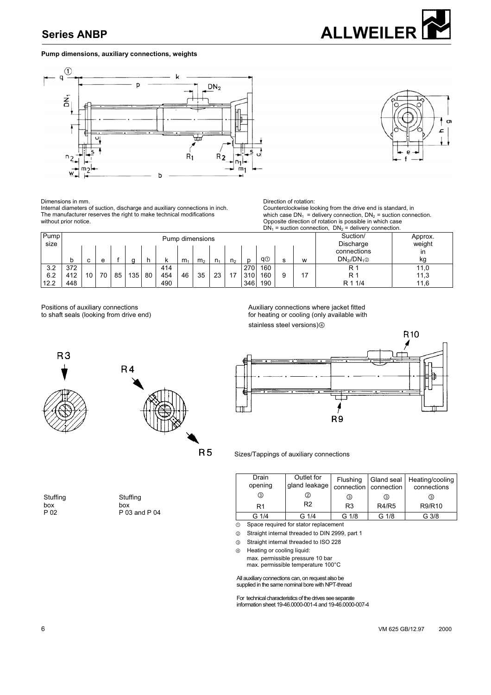## **Pump dimensions, auxiliary connections, weights**





R<sub>10</sub>

 **ALLWEILER** 

Dimensions in mm.

Internal diameters of suction, discharge and auxiliary connections in inch. The manufacturer reserves the right to make technical modifications without prior notice.

|                         |     |        |    |    |     |    |     |                |                |                |                |         |     |        |    | $DN_1$ = suction connection, $DN_2$ = delivery connection. |      |
|-------------------------|-----|--------|----|----|-----|----|-----|----------------|----------------|----------------|----------------|---------|-----|--------|----|------------------------------------------------------------|------|
| Pump<br>Pump dimensions |     |        |    |    |     |    |     |                |                |                | Suction/       | Approx. |     |        |    |                                                            |      |
| size                    |     |        |    |    |     |    |     |                |                |                | Discharge      | weight  |     |        |    |                                                            |      |
|                         |     |        |    |    |     |    |     | connections    | ın             |                |                |         |     |        |    |                                                            |      |
|                         |     | $\sim$ | e  |    |     |    | n.  | m <sub>1</sub> | m <sub>2</sub> | n <sub>1</sub> | n <sub>2</sub> | n       | q①  | c<br>১ | W  | $DN_{2}/DN_{1@}$                                           | kg   |
| 3.2                     | 372 |        |    |    |     |    | 414 |                |                |                |                | 270     | 160 |        |    | R '                                                        | 11,0 |
| 6.2                     | 412 | 10     | 70 | 85 | 135 | 80 | 454 | 46             | 35             | 23             | 17             | 310     | 160 | 9      | 17 | R 1                                                        | 11,3 |
| 12.2                    | 448 |        |    |    |     |    | 490 |                |                |                |                | 346     | 190 |        |    | R 1 1/4                                                    | 11,6 |

Positions of auxiliary connections<br>
to shaft seals (looking from drive end)<br>
Auxiliary connections where jacket fitted<br>
for heating or cooling (only available with for heating or cooling (only available with stainless steel versions)4

Direction of rotation:



**Stuffing** box P 02



**Stuffing** box P 03 and P 04

the contract of the contract of the contract of the contract of the contract of the contract of

⊢ í R<sub>9</sub>

Counterclockwise looking from the drive end is standard, in which case  $DN_1$  = delivery connection,  $DN_2$  = suction connection. Opposite direction of rotation is possible in which case

R 5 Sizes/Tappings of auxiliary connections

| Drain<br>opening | Outlet for<br>gland leakage | Flushing       | connection   connection | Gland seal   Heating/cooling<br>connections |
|------------------|-----------------------------|----------------|-------------------------|---------------------------------------------|
| ③                | ②                           | ③              | 3                       | (3)                                         |
| R <sub>1</sub>   | R <sub>2</sub>              | R <sub>3</sub> | <b>R4/R5</b>            | R9/R10                                      |
| $G$ 1/4          | G 1/4                       | G 1/8          | G 1/8                   | G 3/8                                       |

 $\overline{0}$  Space required for stator replacement

ໂ Straight internal threaded to DIN 2999, part 1

**8** Straight internal threaded to ISO 228

 $\circledast$  Heating or cooling liquid:

 max. permissible pressure 10 bar max. permissible temperature 100°C

All auxiliary connections can, on request also be

supplied in the same nominal bore with NPT-thread

For technical characteristics of the drives see separate information sheet 19-46.0000-001-4 and 19-46.0000-007-4

#### 6 VM 625 GB/12.97 2000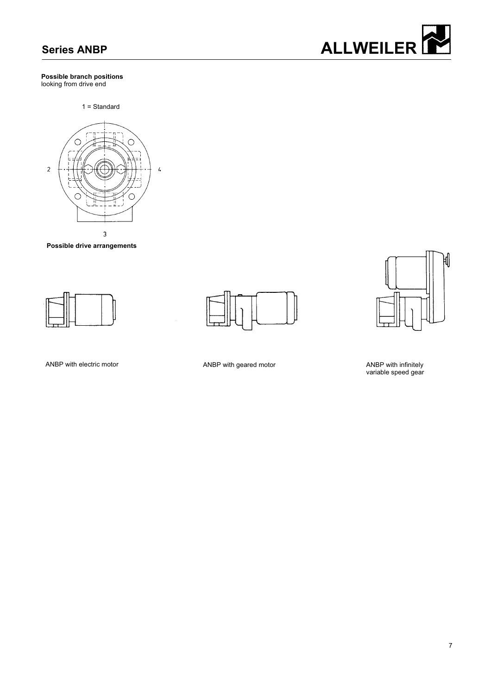#### **Possible branch positions**  looking from drive end

1 = Standard



**Possible drive arrangements** 







ANBP with electric motor ANBP with geared motor

ANBP with infinitely<br>variable speed gear